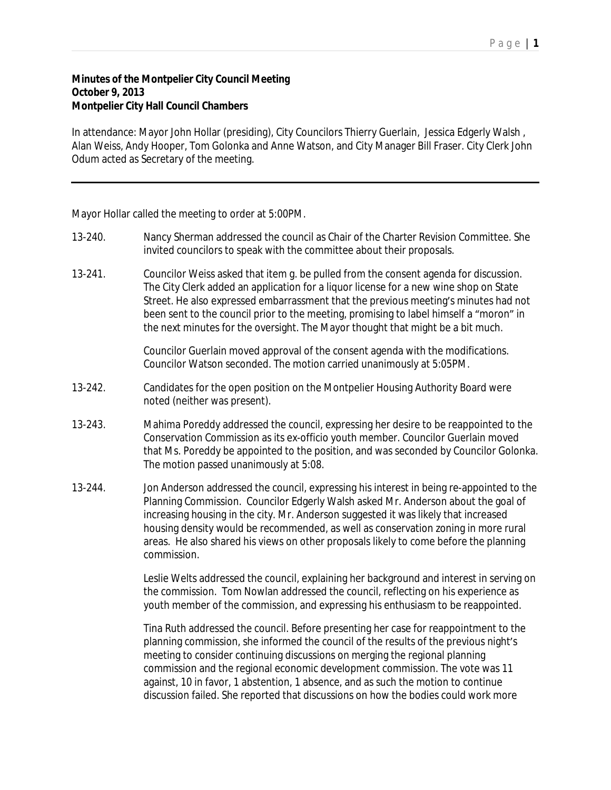## P a g e | **1**

## **Minutes of the Montpelier City Council Meeting October 9, 2013 Montpelier City Hall Council Chambers**

In attendance: Mayor John Hollar (presiding), City Councilors Thierry Guerlain, Jessica Edgerly Walsh , Alan Weiss, Andy Hooper, Tom Golonka and Anne Watson, and City Manager Bill Fraser. City Clerk John Odum acted as Secretary of the meeting.

Mayor Hollar called the meeting to order at 5:00PM.

- 13-240. Nancy Sherman addressed the council as Chair of the Charter Revision Committee. She invited councilors to speak with the committee about their proposals.
- 13-241. Councilor Weiss asked that item g. be pulled from the consent agenda for discussion. The City Clerk added an application for a liquor license for a new wine shop on State Street. He also expressed embarrassment that the previous meeting's minutes had not been sent to the council prior to the meeting, promising to label himself a "moron" in the next minutes for the oversight. The Mayor thought that might be a bit much.

Councilor Guerlain moved approval of the consent agenda with the modifications. Councilor Watson seconded. The motion carried unanimously at 5:05PM.

- 13-242. Candidates for the open position on the Montpelier Housing Authority Board were noted (neither was present).
- 13-243. Mahima Poreddy addressed the council, expressing her desire to be reappointed to the Conservation Commission as its ex-officio youth member. Councilor Guerlain moved that Ms. Poreddy be appointed to the position, and was seconded by Councilor Golonka. The motion passed unanimously at 5:08.
- 13-244. Jon Anderson addressed the council, expressing his interest in being re-appointed to the Planning Commission. Councilor Edgerly Walsh asked Mr. Anderson about the goal of increasing housing in the city. Mr. Anderson suggested it was likely that increased housing density would be recommended, as well as conservation zoning in more rural areas. He also shared his views on other proposals likely to come before the planning commission.

Leslie Welts addressed the council, explaining her background and interest in serving on the commission. Tom Nowlan addressed the council, reflecting on his experience as youth member of the commission, and expressing his enthusiasm to be reappointed.

Tina Ruth addressed the council. Before presenting her case for reappointment to the planning commission, she informed the council of the results of the previous night's meeting to consider continuing discussions on merging the regional planning commission and the regional economic development commission. The vote was 11 against, 10 in favor, 1 abstention, 1 absence, and as such the motion to continue discussion failed. She reported that discussions on how the bodies could work more